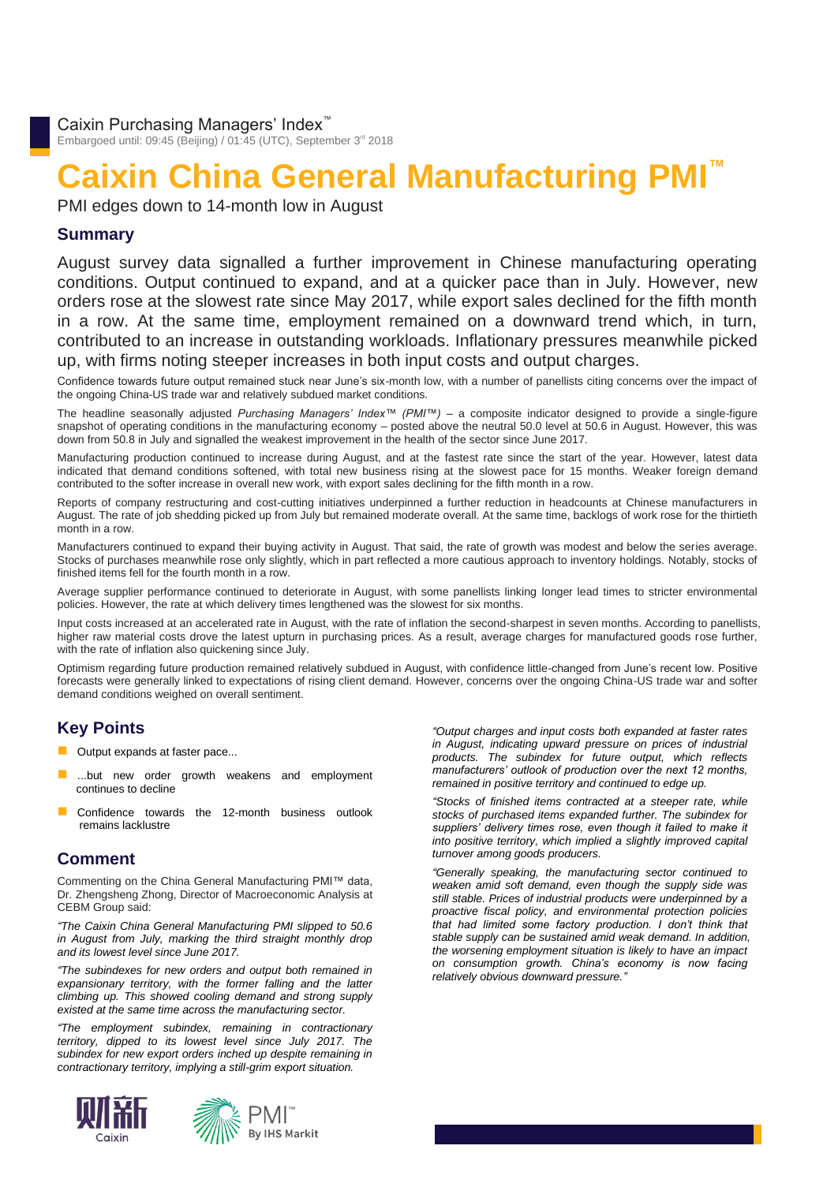Embargoed until: 09:45 (Beijing) / 01:45 (UTC), September 3<sup>rd</sup> 2018

# **Caixin China General Manufacturing PMI™**

PMI edges down to 14-month low in August

# **Summary**

August survey data signalled a further improvement in Chinese manufacturing operating conditions. Output continued to expand, and at a quicker pace than in July. However, new orders rose at the slowest rate since May 2017, while export sales declined for the fifth month in a row. At the same time, employment remained on a downward trend which, in turn, contributed to an increase in outstanding workloads. Inflationary pressures meanwhile picked up, with firms noting steeper increases in both input costs and output charges.

Confidence towards future output remained stuck near June's six-month low, with a number of panellists citing concerns over the impact of the ongoing China-US trade war and relatively subdued market conditions.

The headline seasonally adjusted *Purchasing Managers' Index™ (PMI™)* – a composite indicator designed to provide a single-figure snapshot of operating conditions in the manufacturing economy – posted above the neutral 50.0 level at 50.6 in August. However, this was down from 50.8 in July and signalled the weakest improvement in the health of the sector since June 2017.

Manufacturing production continued to increase during August, and at the fastest rate since the start of the year. However, latest data indicated that demand conditions softened, with total new business rising at the slowest pace for 15 months. Weaker foreign demand contributed to the softer increase in overall new work, with export sales declining for the fifth month in a row.

Reports of company restructuring and cost-cutting initiatives underpinned a further reduction in headcounts at Chinese manufacturers in August. The rate of job shedding picked up from July but remained moderate overall. At the same time, backlogs of work rose for the thirtieth month in a row.

Manufacturers continued to expand their buying activity in August. That said, the rate of growth was modest and below the series average. Stocks of purchases meanwhile rose only slightly, which in part reflected a more cautious approach to inventory holdings. Notably, stocks of finished items fell for the fourth month in a row.

Average supplier performance continued to deteriorate in August, with some panellists linking longer lead times to stricter environmental policies. However, the rate at which delivery times lengthened was the slowest for six months.

Input costs increased at an accelerated rate in August, with the rate of inflation the second-sharpest in seven months. According to panellists, higher raw material costs drove the latest upturn in purchasing prices. As a result, average charges for manufactured goods rose further, with the rate of inflation also quickening since July.

Optimism regarding future production remained relatively subdued in August, with confidence little-changed from June's recent low. Positive forecasts were generally linked to expectations of rising client demand. However, concerns over the ongoing China-US trade war and softer demand conditions weighed on overall sentiment.

# **Key Points**

- Output expands at faster pace...
- ...but new order growth weakens and employment continues to decline
- Confidence towards the 12-month business outlook remains lacklustre

#### **Comment**

Commenting on the China General Manufacturing PMI™ data, Dr. Zhengsheng Zhong, Director of Macroeconomic Analysis at CEBM Group said:

*"The Caixin China General Manufacturing PMI slipped to 50.6 in August from July, marking the third straight monthly drop and its lowest level since June 2017.*

*"The subindexes for new orders and output both remained in expansionary territory, with the former falling and the latter climbing up. This showed cooling demand and strong supply existed at the same time across the manufacturing sector.* 

*"The employment subindex, remaining in contractionary territory, dipped to its lowest level since July 2017. The subindex for new export orders inched up despite remaining in contractionary territory, implying a still-grim export situation.* 



*"Output charges and input costs both expanded at faster rates in August, indicating upward pressure on prices of industrial products. The subindex for future output, which reflects manufacturers' outlook of production over the next 12 months, remained in positive territory and continued to edge up.*

*"Stocks of finished items contracted at a steeper rate, while stocks of purchased items expanded further. The subindex for*  suppliers' delivery times rose, even though it failed to make it *into positive territory, which implied a slightly improved capital turnover among goods producers.*

*"Generally speaking, the manufacturing sector continued to weaken amid soft demand, even though the supply side was still stable. Prices of industrial products were underpinned by a proactive fiscal policy, and environmental protection policies that had limited some factory production. I don't think that stable supply can be sustained amid weak demand. In addition, the worsening employment situation is likely to have an impact on consumption growth. China's economy is now facing relatively obvious downward pressure."*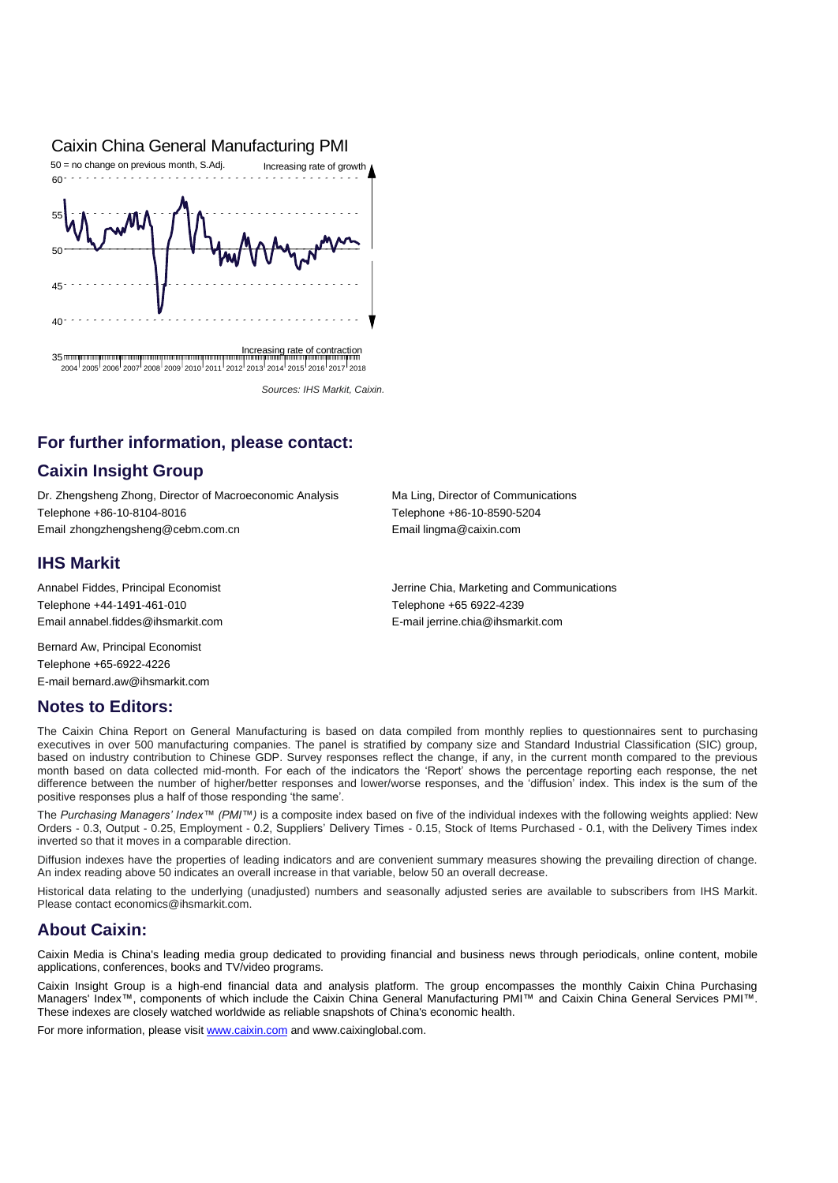#### Caixin China General Manufacturing PMI



 *Sources: IHS Markit, Caixin.*

## **For further information, please contact:**

## **Caixin Insight Group**

Dr. Zhengsheng Zhong, Director of Macroeconomic Analysis Ma Ling, Director of Communications Telephone +86-10-8104-8016 Telephone +86-10-8590-5204 Email zhongzhengsheng@cebm.com.cn Email lingma@caixin.com

#### **IHS Markit**

Telephone +44-1491-461-010 Telephone +65 6922-4239 Email annabel.fiddes@ihsmarkit.com E-mail jerrine.chia@ihsmarkit.com

Bernard Aw, Principal Economist Telephone +65-6922-4226 E-mail bernard.aw@ihsmarkit.com

### **Notes to Editors:**

Annabel Fiddes, Principal Economist **Jerrine Chia, Marketing and Communications** Jerrine Chia, Marketing and Communications

The Caixin China Report on General Manufacturing is based on data compiled from monthly replies to questionnaires sent to purchasing executives in over 500 manufacturing companies. The panel is stratified by company size and Standard Industrial Classification (SIC) group, based on industry contribution to Chinese GDP. Survey responses reflect the change, if any, in the current month compared to the previous month based on data collected mid-month. For each of the indicators the 'Report' shows the percentage reporting each response, the net difference between the number of higher/better responses and lower/worse responses, and the 'diffusion' index. This index is the sum of the positive responses plus a half of those responding 'the same'.

The *Purchasing Managers' Index™ (PMI™)* is a composite index based on five of the individual indexes with the following weights applied: New Orders - 0.3, Output - 0.25, Employment - 0.2, Suppliers' Delivery Times - 0.15, Stock of Items Purchased - 0.1, with the Delivery Times index inverted so that it moves in a comparable direction.

Diffusion indexes have the properties of leading indicators and are convenient summary measures showing the prevailing direction of change. An index reading above 50 indicates an overall increase in that variable, below 50 an overall decrease.

Historical data relating to the underlying (unadjusted) numbers and seasonally adjusted series are available to subscribers from IHS Markit. Please contact economics@ihsmarkit.com.

### **About Caixin:**

Caixin Media is China's leading media group dedicated to providing financial and business news through periodicals, online content, mobile applications, conferences, books and TV/video programs.

Caixin Insight Group is a high-end financial data and analysis platform. The group encompasses the monthly Caixin China Purchasing Managers' Index™, components of which include the Caixin China General Manufacturing PMI™ and Caixin China General Services PMI™. These indexes are closely watched worldwide as reliable snapshots of China's economic health.

For more information, please visi[t www.caixin.com](http://www.caixin.com/) an[d www.caixinglobal.com.](%20www.caixinglobal.com)